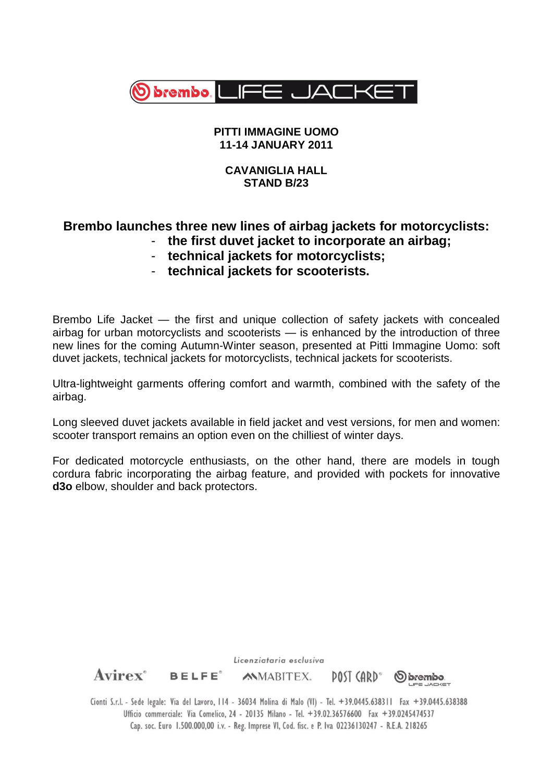

## **PITTI IMMAGINE UOMO 11-14 JANUARY 2011**

## **CAVANIGLIA HALL STAND B/23**

# **Brembo launches three new lines of airbag jackets for motorcyclists:** - **the first duvet jacket to incorporate an airbag;**

- **technical jackets for motorcyclists;**
- **technical jackets for scooterists.**

Brembo Life Jacket — the first and unique collection of safety jackets with concealed airbag for urban motorcyclists and scooterists — is enhanced by the introduction of three new lines for the coming Autumn-Winter season, presented at Pitti Immagine Uomo: soft duvet jackets, technical jackets for motorcyclists, technical jackets for scooterists.

Ultra-lightweight garments offering comfort and warmth, combined with the safety of the airbag.

Long sleeved duvet jackets available in field jacket and vest versions, for men and women: scooter transport remains an option even on the chilliest of winter days.

For dedicated motorcycle enthusiasts, on the other hand, there are models in tough cordura fabric incorporating the airbag feature, and provided with pockets for innovative **d3o** elbow, shoulder and back protectors.

Licenziataria esclusiva  $A \text{virex}^*$  BELFE<sup>\*</sup> **MMABITEX.** DOST (ARD"  $\omega$  brembo. Cionti S.r.l. - Sede legale: Via del Lavoro, 114 - 36034 Molina di Malo (VI) - Tel. +39.0445.638311 Fax +39.0445.638388

Ufficio commerciale: Via Comelico, 24 - 20135 Milano - Tel. +39.02.36576600 Fax +39.0245474537 Cap. soc. Euro 1.500.000,00 i.v. - Reg. Imprese VI, Cod. fisc. e P. Iva 02236130247 - R.E.A. 218265